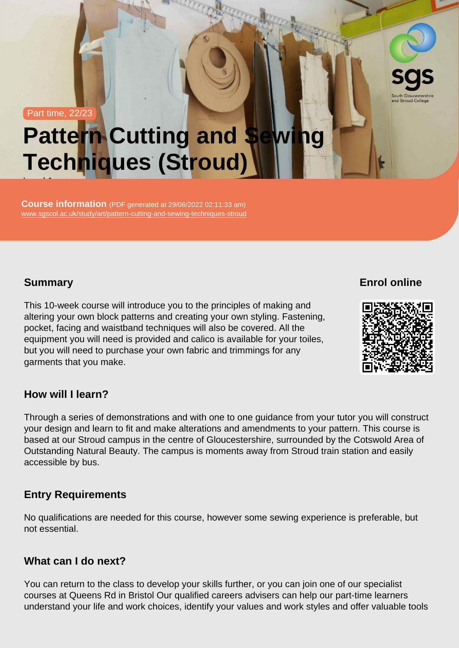Part time, 22/23

# Pattern Cutting and Sewing Techniques (Stroud) Level 1

Course information (PDF generated at 29/06/2022 02:11:33 am) [www.sgscol.ac.uk/study/art/pattern-cutting-and-sewing-techniques-stroud](https://www.sgscol.ac.uk/study/art/pattern-cutting-and-sewing-techniques-stroud)

## **Summary**

Enrol online

This 10-week course will introduce you to the principles of making and altering your own block patterns and creating your own styling. Fastening, pocket, facing and waistband techniques will also be covered. All the equipment you will need is provided and calico is available for your toiles, but you will need to purchase your own fabric and trimmings for any garments that you make.

How will I learn?

Through a series of demonstrations and with one to one guidance from your tutor you will construct your design and learn to fit and make alterations and amendments to your pattern. This course is based at our Stroud campus in the centre of Gloucestershire, surrounded by the Cotswold Area of Outstanding Natural Beauty. The campus is moments away from Stroud train station and easily accessible by bus.

## Entry Requirements

No qualifications are needed for this course, however some sewing experience is preferable, but not essential.

## What can I do next?

You can return to the class to develop your skills further, or you can join one of our specialist courses at Queens Rd in Bristol Our qualified careers advisers can help our part-time learners understand your life and work choices, identify your values and work styles and offer valuable tools